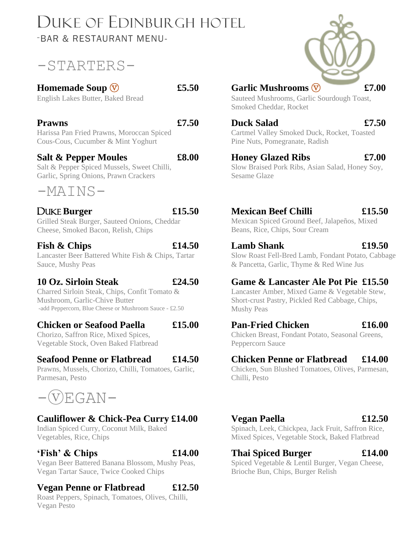## DUKE OF EDINBURGH HOTEL -BAR & RESTAURANT MENU-

## -STARTERS-

### **Homemade Soup**  $\circled{}$  **£5.50**

English Lakes Butter, Baked Bread

#### **Prawns £7.50**

Harissa Pan Fried Prawns, Moroccan Spiced Cous-Cous, Cucumber & Mint Yoghurt

#### **Salt & Pepper Moules £8.00**

Salt & Pepper Spiced Mussels, Sweet Chilli, Garlic, Spring Onions, Prawn Crackers



#### DUKE **Burger £15.50**

Grilled Steak Burger, Sauteed Onions, Cheddar

## Cheese, Smoked Bacon, Relish, Chips

#### **Fish & Chips £14.50**

Lancaster Beer Battered White Fish & Chips, Tartar Sauce, Mushy Peas

#### **10 Oz. Sirloin Steak £24.50**

Charred Sirloin Steak, Chips, Confit Tomato & Mushroom, Garlic-Chive Butter -add Peppercorn, Blue Cheese or Mushroom Sauce - £2.50

#### **Chicken or Seafood Paella £15.00**

Chorizo, Saffron Rice, Mixed Spices, Vegetable Stock, Oven Baked Flatbread

#### **Seafood Penne or Flatbread £14.50**

Prawns, Mussels, Chorizo, Chilli, Tomatoes, Garlic, Parmesan, Pesto



#### **Cauliflower & Chick-Pea Curry £14.00**

Indian Spiced Curry, Coconut Milk, Baked Vegetables, Rice, Chips

#### **'Fish' & Chips £14.00**

Vegan Beer Battered Banana Blossom, Mushy Peas, Vegan Tartar Sauce, Twice Cooked Chips

#### **Vegan Penne or Flatbread £12.50**

Roast Peppers, Spinach, Tomatoes, Olives, Chilli, Vegan Pesto



#### Garlic Mushrooms  $\overline{V}$  **£7.00**

Sauteed Mushrooms, Garlic Sourdough Toast, Smoked Cheddar, Rocket

**Duck Salad £7.50** Cartmel Valley Smoked Duck, Rocket, Toasted Pine Nuts, Pomegranate, Radish

#### **Honey Glazed Ribs £7.00**

Slow Braised Pork Ribs, Asian Salad, Honey Soy, Sesame Glaze

## **Mexican Beef Chilli £15.50**

Mexican Spiced Ground Beef, Jalapeños, Mixed Beans, Rice, Chips, Sour Cream

#### **Lamb Shank £19.50**

Slow Roast Fell-Bred Lamb, Fondant Potato, Cabbage & Pancetta, Garlic, Thyme & Red Wine Jus

#### **Game & Lancaster Ale Pot Pie £15.50**

Lancaster Amber, Mixed Game & Vegetable Stew, Short-crust Pastry, Pickled Red Cabbage, Chips, Mushy Peas

#### **Pan-Fried Chicken £16.00**

Chicken Breast, Fondant Potato, Seasonal Greens, Peppercorn Sauce

#### **Chicken Penne or Flatbread £14.00**

Chicken, Sun Blushed Tomatoes, Olives, Parmesan, Chilli, Pesto

#### **Vegan Paella £12.50**

Spinach, Leek, Chickpea, Jack Fruit, Saffron Rice, Mixed Spices, Vegetable Stock, Baked Flatbread

#### **Thai Spiced Burger £14.00**

Spiced Vegetable & Lentil Burger, Vegan Cheese, Brioche Bun, Chips, Burger Relish